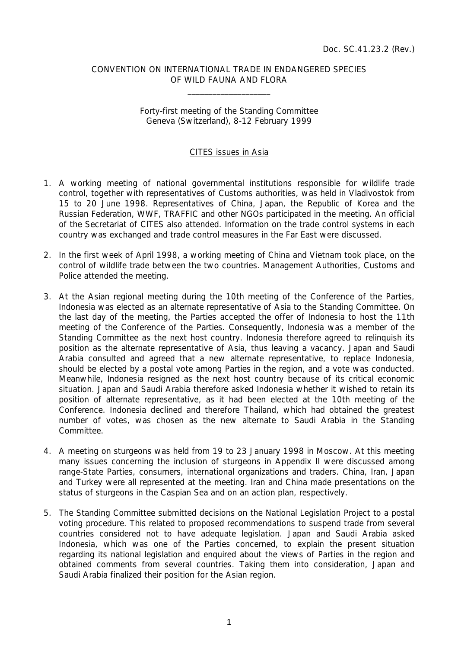## CONVENTION ON INTERNATIONAL TRADE IN ENDANGERED SPECIES OF WILD FAUNA AND FLORA

 $\overline{\phantom{a}}$  , which is a set of the set of the set of the set of the set of the set of the set of the set of the set of the set of the set of the set of the set of the set of the set of the set of the set of the set of th

## Forty-first meeting of the Standing Committee Geneva (Switzerland), 8-12 February 1999

## CITES issues in Asia

- 1. A working meeting of national governmental institutions responsible for wildlife trade control, together with representatives of Customs authorities, was held in Vladivostok from 15 to 20 June 1998. Representatives of China, Japan, the Republic of Korea and the Russian Federation, WWF, TRAFFIC and other NGOs participated in the meeting. An official of the Secretariat of CITES also attended. Information on the trade control systems in each country was exchanged and trade control measures in the Far East were discussed.
- 2. In the first week of April 1998, a working meeting of China and Vietnam took place, on the control of wildlife trade between the two countries. Management Authorities, Customs and Police attended the meeting.
- 3. At the Asian regional meeting during the 10th meeting of the Conference of the Parties, Indonesia was elected as an alternate representative of Asia to the Standing Committee. On the last day of the meeting, the Parties accepted the offer of Indonesia to host the 11th meeting of the Conference of the Parties. Consequently, Indonesia was a member of the Standing Committee as the next host country. Indonesia therefore agreed to relinquish its position as the alternate representative of Asia, thus leaving a vacancy. Japan and Saudi Arabia consulted and agreed that a new alternate representative, to replace Indonesia, should be elected by a postal vote among Parties in the region, and a vote was conducted. Meanwhile, Indonesia resigned as the next host country because of its critical economic situation. Japan and Saudi Arabia therefore asked Indonesia whether it wished to retain its position of alternate representative, as it had been elected at the 10th meeting of the Conference. Indonesia declined and therefore Thailand, which had obtained the greatest number of votes, was chosen as the new alternate to Saudi Arabia in the Standing Committee.
- 4. A meeting on sturgeons was held from 19 to 23 January 1998 in Moscow. At this meeting many issues concerning the inclusion of sturgeons in Appendix II were discussed among range-State Parties, consumers, international organizations and traders. China, Iran, Japan and Turkey were all represented at the meeting. Iran and China made presentations on the status of sturgeons in the Caspian Sea and on an action plan, respectively.
- 5. The Standing Committee submitted decisions on the National Legislation Project to a postal voting procedure. This related to proposed recommendations to suspend trade from several countries considered not to have adequate legislation. Japan and Saudi Arabia asked Indonesia, which was one of the Parties concerned, to explain the present situation regarding its national legislation and enquired about the views of Parties in the region and obtained comments from several countries. Taking them into consideration, Japan and Saudi Arabia finalized their position for the Asian region.